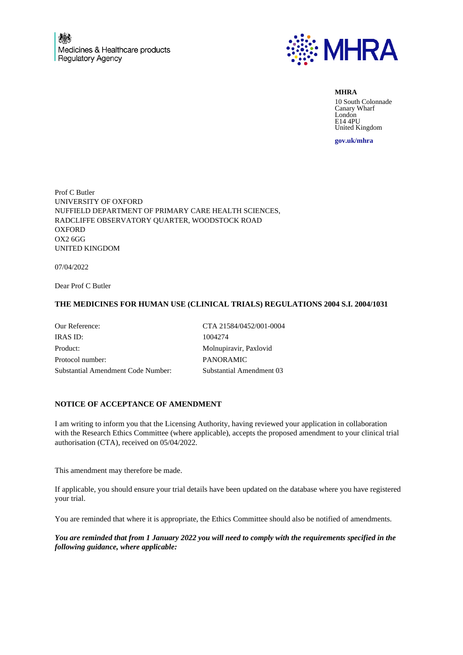

**MHRA**

10 South Colonnade Canary Wharf London E14 4PU United Kingdom

**gov.uk/mhra**

Prof C Butler UNIVERSITY OF OXFORD NUFFIELD DEPARTMENT OF PRIMARY CARE HEALTH SCIENCES, RADCLIFFE OBSERVATORY QUARTER, WOODSTOCK ROAD **OXFORD** OX2 6GG UNITED KINGDOM

07/04/2022

Dear Prof C Butler

## **THE MEDICINES FOR HUMAN USE (CLINICAL TRIALS) REGULATIONS 2004 S.I. 2004/1031**

| Our Reference:                     | CTA 21584/0452/001-0004  |
|------------------------------------|--------------------------|
| <b>IRAS ID:</b>                    | 1004274                  |
| Product:                           | Molnupiravir, Paxlovid   |
| Protocol number:                   | <b>PANORAMIC</b>         |
| Substantial Amendment Code Number: | Substantial Amendment 03 |

## **NOTICE OF ACCEPTANCE OF AMENDMENT**

I am writing to inform you that the Licensing Authority, having reviewed your application in collaboration with the Research Ethics Committee (where applicable), accepts the proposed amendment to your clinical trial authorisation (CTA), received on 05/04/2022.

This amendment may therefore be made.

If applicable, you should ensure your trial details have been updated on the database where you have registered your trial.

You are reminded that where it is appropriate, the Ethics Committee should also be notified of amendments.

*You are reminded that from 1 January 2022 you will need to comply with the requirements specified in the following guidance, where applicable:*